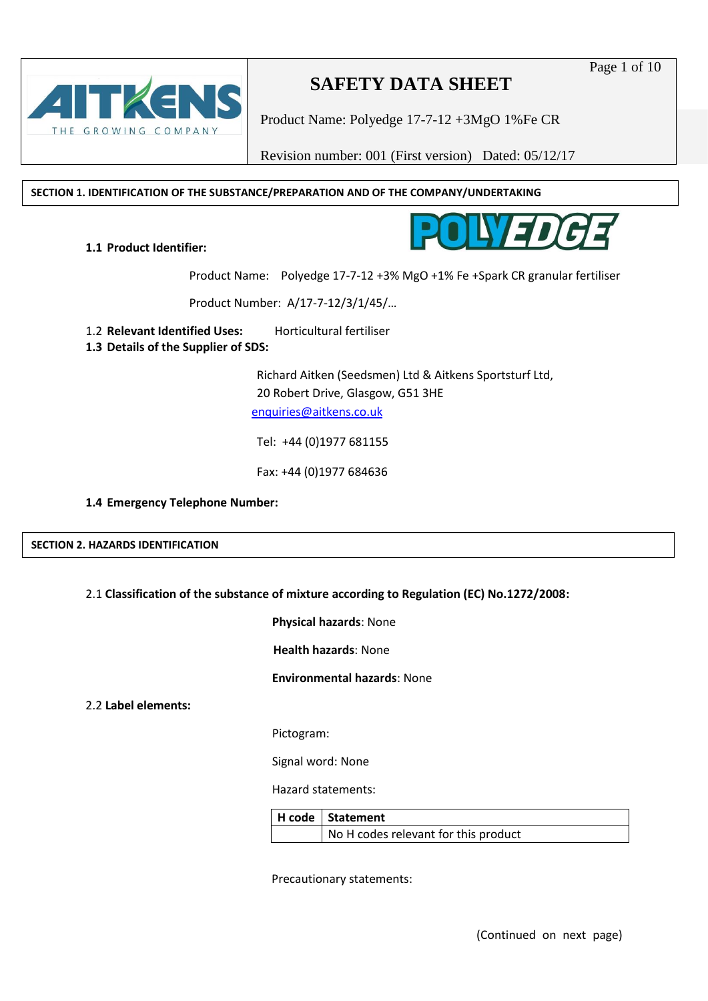## THE GROWING COMPANY

## **SAFETY DATA SHEET**

Product Name: Polyedge 17-7-12 +3MgO 1%Fe CR

Revision number: 001 (First version) Dated: 05/12/17

**SECTION 1. IDENTIFICATION OF THE SUBSTANCE/PREPARATION AND OF THE COMPANY/UNDERTAKING**



**1.1 Product Identifier:** 

Product Name: Polyedge 17-7-12 +3% MgO +1% Fe +Spark CR granular fertiliser

Product Number: A/17-7-12/3/1/45/…

1.2 **Relevant Identified Uses:** Horticultural fertiliser

**1.3 Details of the Supplier of SDS:**

Richard Aitken (Seedsmen) Ltd & Aitkens Sportsturf Ltd, 20 Robert Drive, Glasgow, G51 3HE [enquiries@aitkens.co.uk](mailto:enquiries@aitkens.co.uk)

Tel: +44 (0)1977 681155

Fax: +44 (0)1977 684636

#### **1.4 Emergency Telephone Number:**

**SECTION 2. HAZARDS IDENTIFICATION**

### 2.1 **Classification of the substance of mixture according to Regulation (EC) No.1272/2008:**

**Physical hazards**: None

**Health hazards**: None

**Environmental hazards**: None

2.2 **Label elements:**

Pictogram:

Signal word: None

Hazard statements:

| H code   Statement                   |
|--------------------------------------|
| No H codes relevant for this product |

Precautionary statements: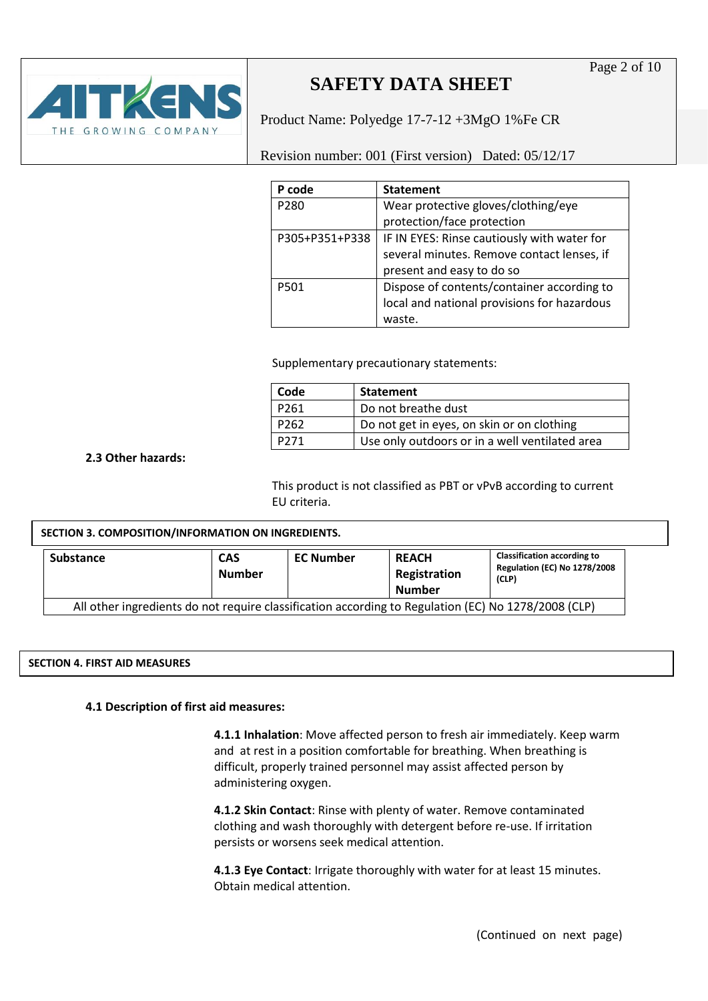Product Name: Polyedge 17-7-12 +3MgO 1%Fe CR

Revision number: 001 (First version) Dated: 05/12/17

| P code         | <b>Statement</b>                            |
|----------------|---------------------------------------------|
| P280           | Wear protective gloves/clothing/eye         |
|                | protection/face protection                  |
| P305+P351+P338 | IF IN EYES: Rinse cautiously with water for |
|                | several minutes. Remove contact lenses, if  |
|                | present and easy to do so                   |
| P501           | Dispose of contents/container according to  |
|                | local and national provisions for hazardous |
|                | waste.                                      |

Supplementary precautionary statements:

| Code             | <b>Statement</b>                               |
|------------------|------------------------------------------------|
| P <sub>261</sub> | Do not breathe dust                            |
| P <sub>262</sub> | Do not get in eyes, on skin or on clothing     |
| P271             | Use only outdoors or in a well ventilated area |

#### **2.3 Other hazards:**

This product is not classified as PBT or vPvB according to current EU criteria.

#### **Substance CAS Number EC Number REACH Registration Number Classification according to Regulation (EC) No 1278/2008 (CLP)** All other ingredients do not require classification according to Regulation (EC) No 1278/2008 (CLP) **SECTION 3. COMPOSITION/INFORMATION ON INGREDIENTS.**

#### **SECTION 4. FIRST AID MEASURES**

#### **4.1 Description of first aid measures:**

**4.1.1 Inhalation**: Move affected person to fresh air immediately. Keep warm and at rest in a position comfortable for breathing. When breathing is difficult, properly trained personnel may assist affected person by administering oxygen.

**4.1.2 Skin Contact**: Rinse with plenty of water. Remove contaminated clothing and wash thoroughly with detergent before re-use. If irritation persists or worsens seek medical attention.

**4.1.3 Eye Contact**: Irrigate thoroughly with water for at least 15 minutes. Obtain medical attention.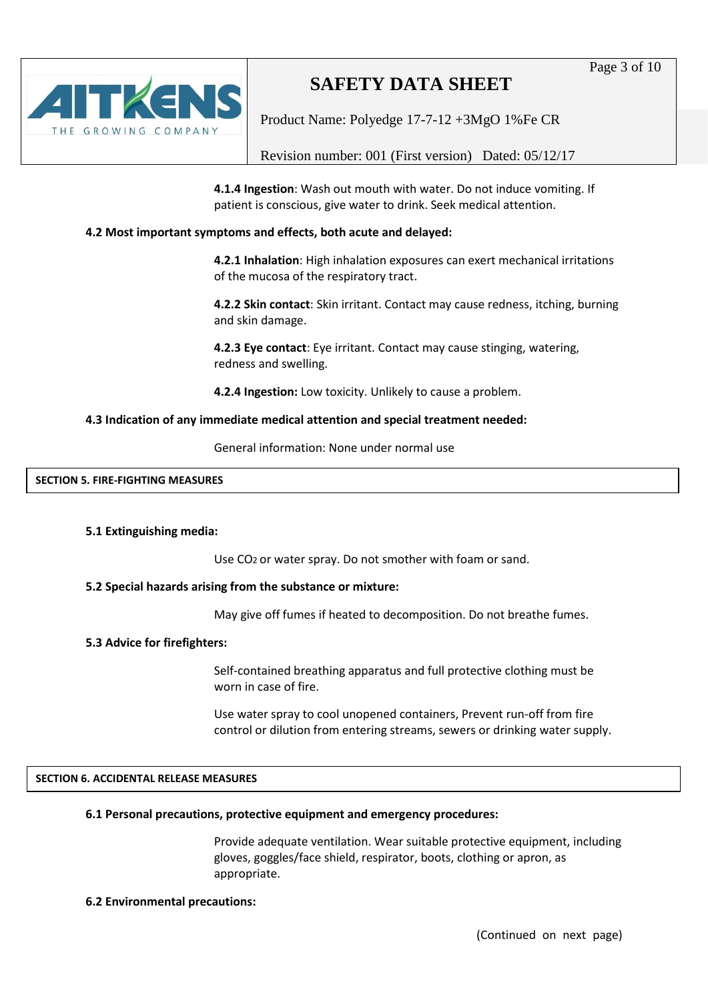Page 3 of 10



## **SAFETY DATA SHEET**

Product Name: Polyedge 17-7-12 +3MgO 1%Fe CR

Revision number: 001 (First version) Dated: 05/12/17

**4.1.4 Ingestion**: Wash out mouth with water. Do not induce vomiting. If patient is conscious, give water to drink. Seek medical attention.

#### **4.2 Most important symptoms and effects, both acute and delayed:**

**4.2.1 Inhalation**: High inhalation exposures can exert mechanical irritations of the mucosa of the respiratory tract.

**4.2.2 Skin contact**: Skin irritant. Contact may cause redness, itching, burning and skin damage.

**4.2.3 Eye contact**: Eye irritant. Contact may cause stinging, watering, redness and swelling.

**4.2.4 Ingestion:** Low toxicity. Unlikely to cause a problem.

#### **4.3 Indication of any immediate medical attention and special treatment needed:**

General information: None under normal use

#### **SECTION 5. FIRE-FIGHTING MEASURES**

#### **5.1 Extinguishing media:**

Use CO2 or water spray. Do not smother with foam or sand.

#### **5.2 Special hazards arising from the substance or mixture:**

May give off fumes if heated to decomposition. Do not breathe fumes.

#### **5.3 Advice for firefighters:**

Self-contained breathing apparatus and full protective clothing must be worn in case of fire.

Use water spray to cool unopened containers, Prevent run-off from fire control or dilution from entering streams, sewers or drinking water supply.

#### **SECTION 6. ACCIDENTAL RELEASE MEASURES**

#### **6.1 Personal precautions, protective equipment and emergency procedures:**

Provide adequate ventilation. Wear suitable protective equipment, including gloves, goggles/face shield, respirator, boots, clothing or apron, as appropriate.

#### **6.2 Environmental precautions:**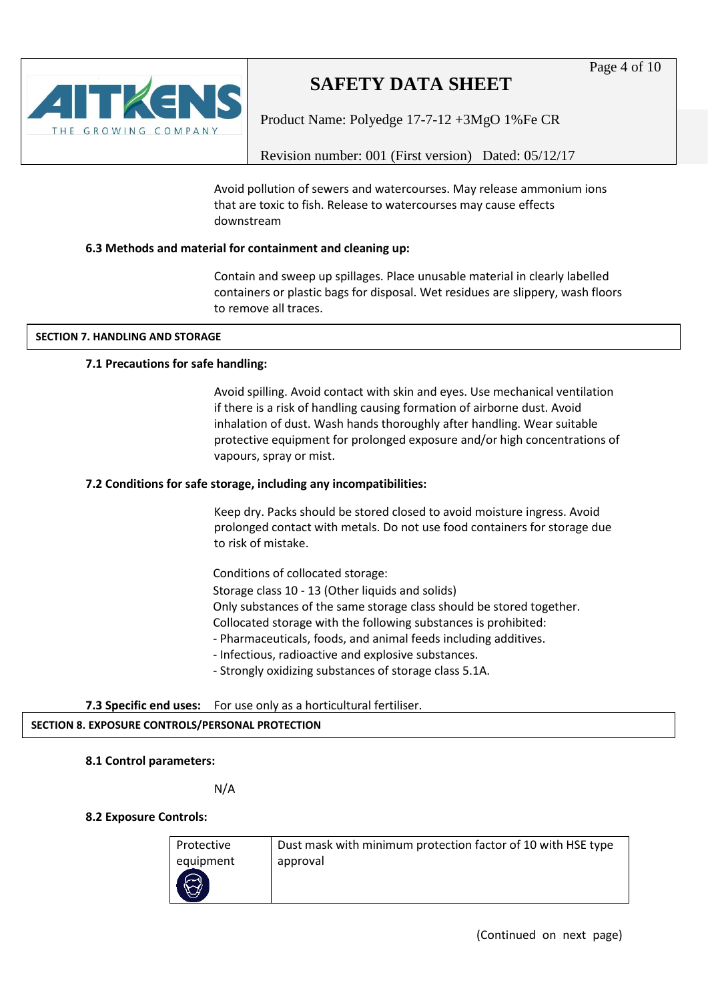

Product Name: Polyedge 17-7-12 +3MgO 1%Fe CR

Revision number: 001 (First version) Dated: 05/12/17

Avoid pollution of sewers and watercourses. May release ammonium ions that are toxic to fish. Release to watercourses may cause effects downstream

#### **6.3 Methods and material for containment and cleaning up:**

Contain and sweep up spillages. Place unusable material in clearly labelled containers or plastic bags for disposal. Wet residues are slippery, wash floors to remove all traces.

#### **SECTION 7. HANDLING AND STORAGE**

#### **7.1 Precautions for safe handling:**

Avoid spilling. Avoid contact with skin and eyes. Use mechanical ventilation if there is a risk of handling causing formation of airborne dust. Avoid inhalation of dust. Wash hands thoroughly after handling. Wear suitable protective equipment for prolonged exposure and/or high concentrations of vapours, spray or mist.

#### **7.2 Conditions for safe storage, including any incompatibilities:**

Keep dry. Packs should be stored closed to avoid moisture ingress. Avoid prolonged contact with metals. Do not use food containers for storage due to risk of mistake.

Conditions of collocated storage:

 Storage class 10 - 13 (Other liquids and solids) Only substances of the same storage class should be stored together. Collocated storage with the following substances is prohibited:

- Pharmaceuticals, foods, and animal feeds including additives.
- Infectious, radioactive and explosive substances.
- Strongly oxidizing substances of storage class 5.1A.
- **7.3 Specific end uses:** For use only as a horticultural fertiliser.

### **SECTION 8. EXPOSURE CONTROLS/PERSONAL PROTECTION**

#### **8.1 Control parameters:**

N/A

#### **8.2 Exposure Controls:**

| Protective | Dust mask with minimum protection factor of 10 with HSE type |
|------------|--------------------------------------------------------------|
| equipment  | approval                                                     |
|            |                                                              |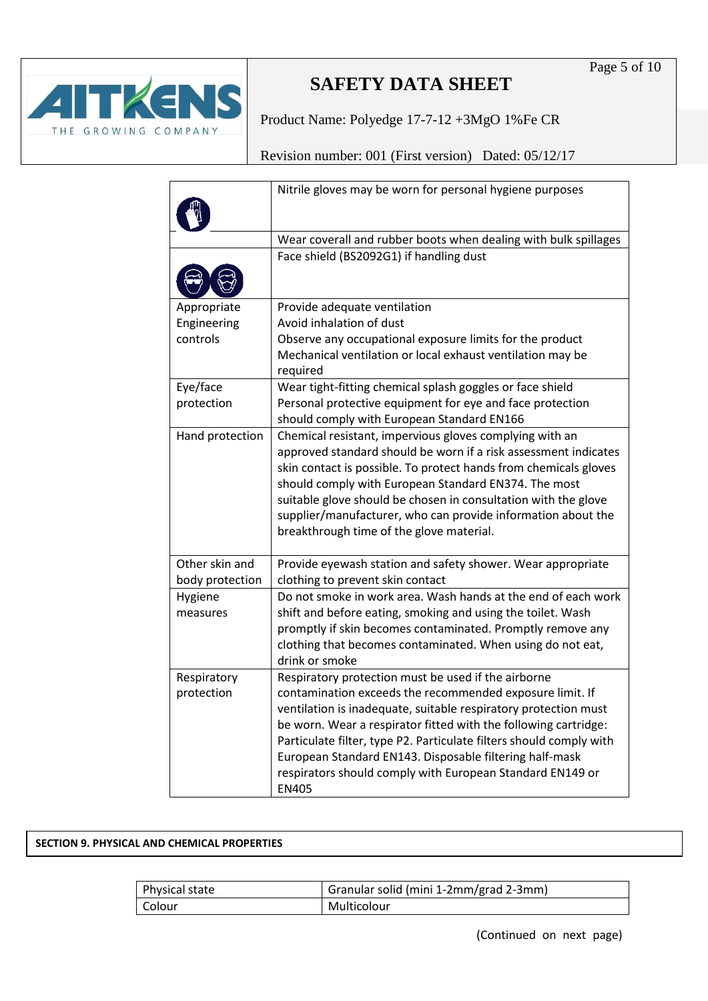

Product Name: Polyedge 17-7-12 +3MgO 1%Fe CR

Revision number: 001 (First version) Dated: 05/12/17

|                 | Nitrile gloves may be worn for personal hygiene purposes               |
|-----------------|------------------------------------------------------------------------|
|                 | Wear coverall and rubber boots when dealing with bulk spillages        |
|                 | Face shield (BS2092G1) if handling dust                                |
|                 |                                                                        |
| Appropriate     | Provide adequate ventilation                                           |
| Engineering     | Avoid inhalation of dust                                               |
| controls        | Observe any occupational exposure limits for the product               |
|                 | Mechanical ventilation or local exhaust ventilation may be<br>required |
| Eye/face        | Wear tight-fitting chemical splash goggles or face shield              |
| protection      | Personal protective equipment for eye and face protection              |
|                 | should comply with European Standard EN166                             |
| Hand protection | Chemical resistant, impervious gloves complying with an                |
|                 | approved standard should be worn if a risk assessment indicates        |
|                 | skin contact is possible. To protect hands from chemicals gloves       |
|                 | should comply with European Standard EN374. The most                   |
|                 | suitable glove should be chosen in consultation with the glove         |
|                 | supplier/manufacturer, who can provide information about the           |
|                 | breakthrough time of the glove material.                               |
| Other skin and  | Provide eyewash station and safety shower. Wear appropriate            |
| body protection | clothing to prevent skin contact                                       |
| Hygiene         | Do not smoke in work area. Wash hands at the end of each work          |
| measures        | shift and before eating, smoking and using the toilet. Wash            |
|                 | promptly if skin becomes contaminated. Promptly remove any             |
|                 | clothing that becomes contaminated. When using do not eat,             |
|                 | drink or smoke                                                         |
| Respiratory     | Respiratory protection must be used if the airborne                    |
| protection      | contamination exceeds the recommended exposure limit. If               |
|                 | ventilation is inadequate, suitable respiratory protection must        |
|                 | be worn. Wear a respirator fitted with the following cartridge:        |
|                 | Particulate filter, type P2. Particulate filters should comply with    |
|                 | European Standard EN143. Disposable filtering half-mask                |
|                 | respirators should comply with European Standard EN149 or              |
|                 | <b>EN405</b>                                                           |

#### **SECTION 9. PHYSICAL AND CHEMICAL PROPERTIES**

| Physical state | Granular solid (mini 1-2mm/grad 2-3mm) |
|----------------|----------------------------------------|
| l Colour       | Multicolour                            |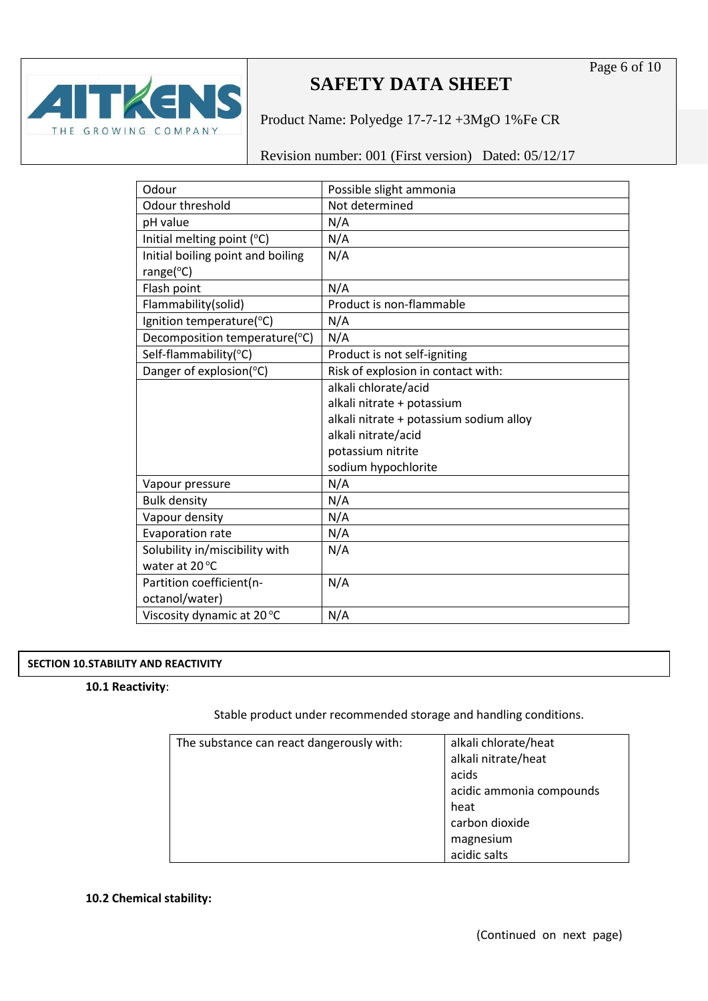

Product Name: Polyedge 17-7-12 +3MgO 1%Fe CR

Revision number: 001 (First version) Dated: 05/12/17

| Odour                             | Possible slight ammonia                 |
|-----------------------------------|-----------------------------------------|
| Odour threshold                   | Not determined                          |
| pH value                          | N/A                                     |
| Initial melting point (°C)        | N/A                                     |
| Initial boiling point and boiling | N/A                                     |
| range $(^{\circ}C)$               |                                         |
| Flash point                       | N/A                                     |
| Flammability(solid)               | Product is non-flammable                |
| Ignition temperature(°C)          | N/A                                     |
| Decomposition temperature(°C)     | N/A                                     |
| Self-flammability(°C)             | Product is not self-igniting            |
| Danger of explosion(°C)           | Risk of explosion in contact with:      |
|                                   | alkali chlorate/acid                    |
|                                   | alkali nitrate + potassium              |
|                                   | alkali nitrate + potassium sodium alloy |
|                                   | alkali nitrate/acid                     |
|                                   | potassium nitrite                       |
|                                   | sodium hypochlorite                     |
| Vapour pressure                   | N/A                                     |
| <b>Bulk density</b>               | N/A                                     |
| Vapour density                    | N/A                                     |
| Evaporation rate                  | N/A                                     |
| Solubility in/miscibility with    | N/A                                     |
| water at 20°C                     |                                         |
| Partition coefficient(n-          | N/A                                     |
| octanol/water)                    |                                         |
| Viscosity dynamic at 20 °C        | N/A                                     |

#### **SECTION 10.STABILITY AND REACTIVITY**

#### **10.1 Reactivity**:

Stable product under recommended storage and handling conditions.

| The substance can react dangerously with: | alkali chlorate/heat     |
|-------------------------------------------|--------------------------|
|                                           | alkali nitrate/heat      |
|                                           | acids                    |
|                                           | acidic ammonia compounds |
|                                           | heat                     |
|                                           | carbon dioxide           |
|                                           | magnesium                |
|                                           | acidic salts             |

#### **10.2 Chemical stability:**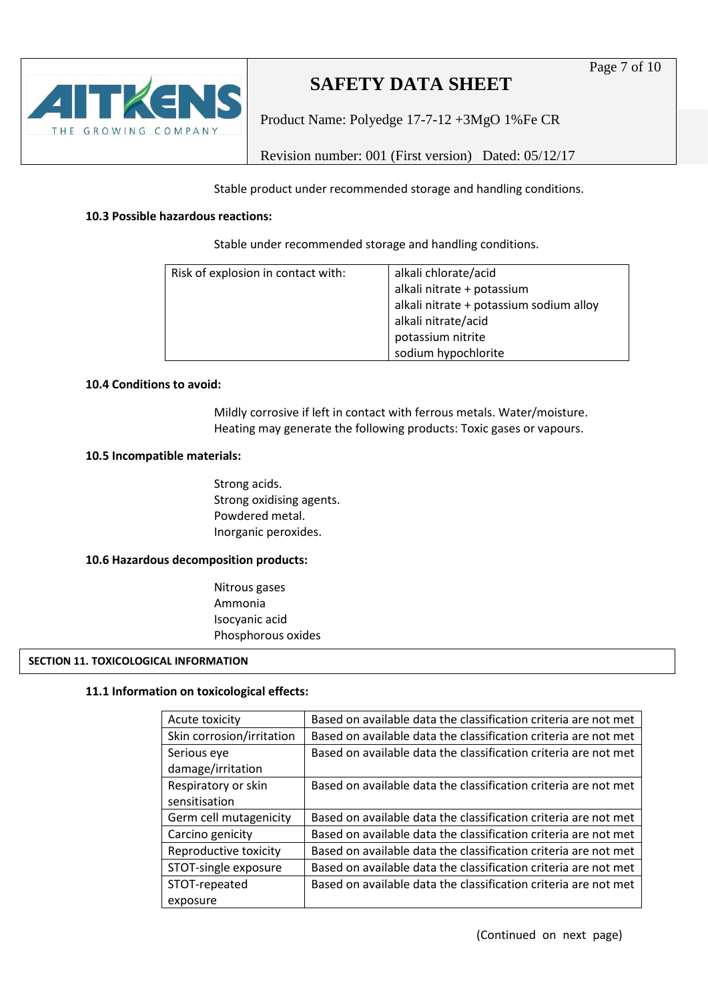Product Name: Polyedge 17-7-12 +3MgO 1%Fe CR

Revision number: 001 (First version) Dated: 05/12/17

Stable product under recommended storage and handling conditions.

#### **10.3 Possible hazardous reactions:**

THE GROWING COMPANY

Stable under recommended storage and handling conditions.

| Risk of explosion in contact with: | alkali chlorate/acid<br>alkali nitrate + potassium<br>alkali nitrate + potassium sodium alloy<br>alkali nitrate/acid<br>potassium nitrite<br>sodium hypochlorite |
|------------------------------------|------------------------------------------------------------------------------------------------------------------------------------------------------------------|
|------------------------------------|------------------------------------------------------------------------------------------------------------------------------------------------------------------|

#### **10.4 Conditions to avoid:**

Mildly corrosive if left in contact with ferrous metals. Water/moisture. Heating may generate the following products: Toxic gases or vapours.

#### **10.5 Incompatible materials:**

Strong acids. Strong oxidising agents. Powdered metal. Inorganic peroxides.

#### **10.6 Hazardous decomposition products:**

Nitrous gases Ammonia Isocyanic acid Phosphorous oxides

#### **SECTION 11. TOXICOLOGICAL INFORMATION**

#### **11.1 Information on toxicological effects:**

| Acute toxicity            | Based on available data the classification criteria are not met |
|---------------------------|-----------------------------------------------------------------|
| Skin corrosion/irritation | Based on available data the classification criteria are not met |
| Serious eye               | Based on available data the classification criteria are not met |
| damage/irritation         |                                                                 |
| Respiratory or skin       | Based on available data the classification criteria are not met |
| sensitisation             |                                                                 |
| Germ cell mutagenicity    | Based on available data the classification criteria are not met |
| Carcino genicity          | Based on available data the classification criteria are not met |
| Reproductive toxicity     | Based on available data the classification criteria are not met |
| STOT-single exposure      | Based on available data the classification criteria are not met |
| STOT-repeated             | Based on available data the classification criteria are not met |
| exposure                  |                                                                 |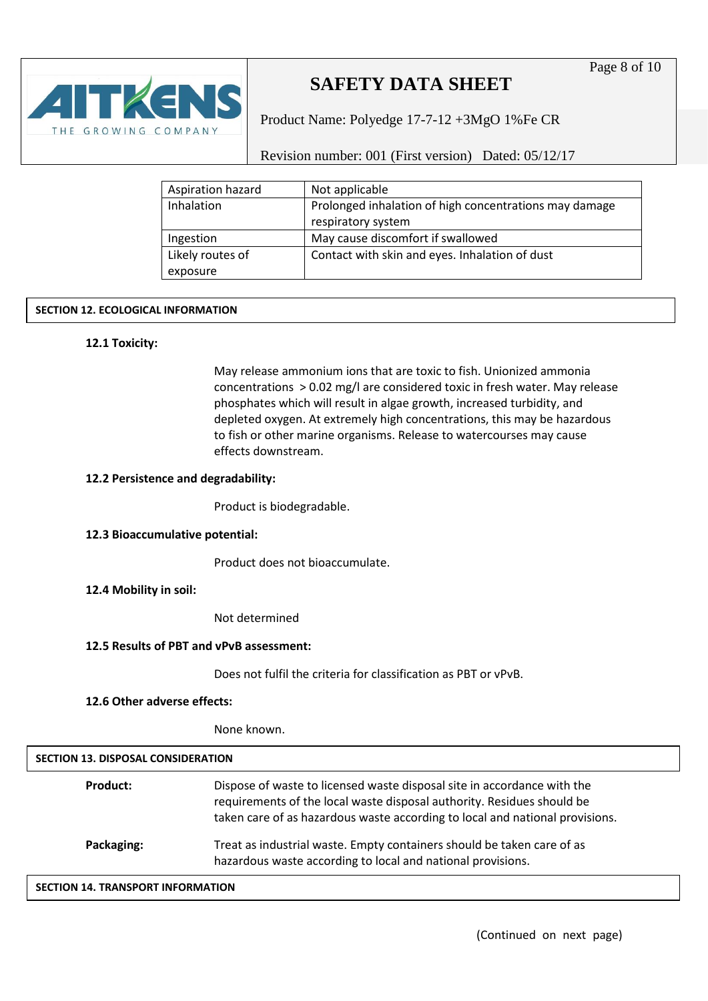

Product Name: Polyedge 17-7-12 +3MgO 1%Fe CR

Revision number: 001 (First version) Dated: 05/12/17

| Aspiration hazard | Not applicable                                         |
|-------------------|--------------------------------------------------------|
| Inhalation        | Prolonged inhalation of high concentrations may damage |
|                   | respiratory system                                     |
| Ingestion         | May cause discomfort if swallowed                      |
| Likely routes of  | Contact with skin and eyes. Inhalation of dust         |
| exposure          |                                                        |

#### **SECTION 12. ECOLOGICAL INFORMATION**

#### **12.1 Toxicity:**

May release ammonium ions that are toxic to fish. Unionized ammonia concentrations > 0.02 mg/l are considered toxic in fresh water. May release phosphates which will result in algae growth, increased turbidity, and depleted oxygen. At extremely high concentrations, this may be hazardous to fish or other marine organisms. Release to watercourses may cause effects downstream.

#### **12.2 Persistence and degradability:**

Product is biodegradable.

#### **12.3 Bioaccumulative potential:**

Product does not bioaccumulate.

#### **12.4 Mobility in soil:**

Not determined

#### **12.5 Results of PBT and vPvB assessment:**

Does not fulfil the criteria for classification as PBT or vPvB.

#### **12.6 Other adverse effects:**

None known.

| <b>SECTION 13. DISPOSAL CONSIDERATION</b> |                                                                                                                                                                                                                                   |
|-------------------------------------------|-----------------------------------------------------------------------------------------------------------------------------------------------------------------------------------------------------------------------------------|
| Product:                                  | Dispose of waste to licensed waste disposal site in accordance with the<br>requirements of the local waste disposal authority. Residues should be<br>taken care of as hazardous waste according to local and national provisions. |
| Packaging:                                | Treat as industrial waste. Empty containers should be taken care of as<br>hazardous waste according to local and national provisions.                                                                                             |

#### **SECTION 14. TRANSPORT INFORMATION**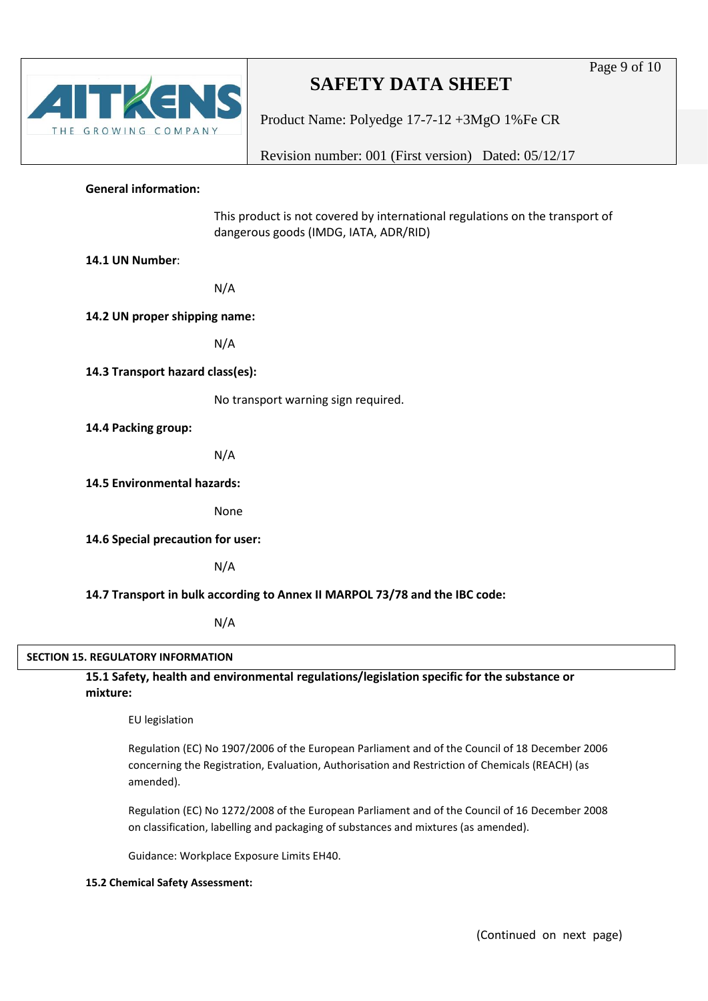# THE GROWING COMPANY

## **SAFETY DATA SHEET**

Product Name: Polyedge 17-7-12 +3MgO 1%Fe CR

Revision number: 001 (First version) Dated: 05/12/17

#### **General information:**

This product is not covered by international regulations on the transport of dangerous goods (IMDG, IATA, ADR/RID)

**14.1 UN Number**:

N/A

**14.2 UN proper shipping name:** 

N/A

**14.3 Transport hazard class(es):** 

No transport warning sign required.

**14.4 Packing group:** 

N/A

**14.5 Environmental hazards:** 

None

**14.6 Special precaution for user:** 

N/A

#### **14.7 Transport in bulk according to Annex II MARPOL 73/78 and the IBC code:**

N/A

#### **SECTION 15. REGULATORY INFORMATION**

**15.1 Safety, health and environmental regulations/legislation specific for the substance or mixture:**

EU legislation

Regulation (EC) No 1907/2006 of the European Parliament and of the Council of 18 December 2006 concerning the Registration, Evaluation, Authorisation and Restriction of Chemicals (REACH) (as amended).

Regulation (EC) No 1272/2008 of the European Parliament and of the Council of 16 December 2008 on classification, labelling and packaging of substances and mixtures (as amended).

Guidance: Workplace Exposure Limits EH40.

#### **15.2 Chemical Safety Assessment:**